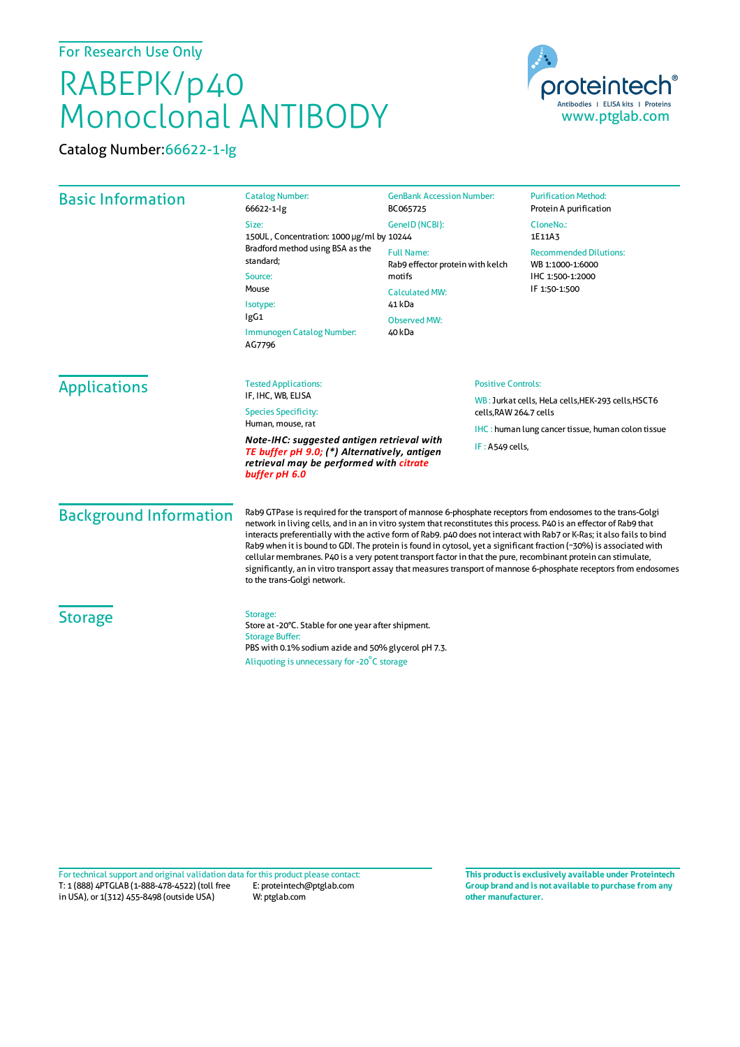## For Research Use Only

## RABEPK/p40 Monoclonal ANTIBODY





| <b>Basic Information</b>                                                                                                                               | <b>Catalog Number:</b><br>66622-1-lg                                                                                                                                                                                                                                                                                                                                                                                                                                                                                                                                                                                                                                                                                                                        | <b>GenBank Accession Number:</b><br>BC065725                                                                                 | <b>Purification Method:</b><br>Protein A purification                                  |                     |                                                   |  |                                                                              |  |
|--------------------------------------------------------------------------------------------------------------------------------------------------------|-------------------------------------------------------------------------------------------------------------------------------------------------------------------------------------------------------------------------------------------------------------------------------------------------------------------------------------------------------------------------------------------------------------------------------------------------------------------------------------------------------------------------------------------------------------------------------------------------------------------------------------------------------------------------------------------------------------------------------------------------------------|------------------------------------------------------------------------------------------------------------------------------|----------------------------------------------------------------------------------------|---------------------|---------------------------------------------------|--|------------------------------------------------------------------------------|--|
|                                                                                                                                                        | Size:<br>150UL, Concentration: 1000 µg/ml by 10244<br>Bradford method using BSA as the<br>standard;<br>Source:<br>Mouse<br>Isotype:<br>lgG1<br>Immunogen Catalog Number:<br>AG7796                                                                                                                                                                                                                                                                                                                                                                                                                                                                                                                                                                          | GeneID (NCBI):                                                                                                               | CloneNo.:<br>1E11A3                                                                    |                     |                                                   |  |                                                                              |  |
|                                                                                                                                                        |                                                                                                                                                                                                                                                                                                                                                                                                                                                                                                                                                                                                                                                                                                                                                             | <b>Full Name:</b><br>Rab9 effector protein with kelch<br>motifs<br><b>Calculated MW:</b><br>41 kDa<br>Observed MW:<br>40 kDa | <b>Recommended Dilutions:</b><br>WB 1:1000-1:6000<br>IHC 1:500-1:2000<br>IF 1:50-1:500 |                     |                                                   |  |                                                                              |  |
|                                                                                                                                                        |                                                                                                                                                                                                                                                                                                                                                                                                                                                                                                                                                                                                                                                                                                                                                             |                                                                                                                              |                                                                                        | <b>Applications</b> | <b>Tested Applications:</b>                       |  | <b>Positive Controls:</b>                                                    |  |
|                                                                                                                                                        |                                                                                                                                                                                                                                                                                                                                                                                                                                                                                                                                                                                                                                                                                                                                                             |                                                                                                                              |                                                                                        |                     | IF, IHC, WB, ELISA<br><b>Species Specificity:</b> |  | WB: Jurkat cells, HeLa cells, HEK-293 cells, HSCT6<br>cells, RAW 264.7 cells |  |
|                                                                                                                                                        |                                                                                                                                                                                                                                                                                                                                                                                                                                                                                                                                                                                                                                                                                                                                                             |                                                                                                                              |                                                                                        |                     | Human, mouse, rat                                 |  | <b>IHC:</b> human lung cancer tissue, human colon tissue                     |  |
| Note-IHC: suggested antigen retrieval with<br>TE buffer pH 9.0; (*) Alternatively, antigen<br>retrieval may be performed with citrate<br>buffer pH 6.0 | IF: A549 cells,                                                                                                                                                                                                                                                                                                                                                                                                                                                                                                                                                                                                                                                                                                                                             |                                                                                                                              |                                                                                        |                     |                                                   |  |                                                                              |  |
| <b>Background Information</b>                                                                                                                          | Rab9 GTPase is required for the transport of mannose 6-phosphate receptors from endosomes to the trans-Golgi<br>network in living cells, and in an in vitro system that reconstitutes this process. P40 is an effector of Rab9 that<br>interacts preferentially with the active form of Rab9. p40 does not interact with Rab7 or K-Ras; it also fails to bind<br>Rab9 when it is bound to GDI. The protein is found in cytosol, yet a significant fraction (~30%) is associated with<br>cellular membranes. P40 is a very potent transport factor in that the pure, recombinant protein can stimulate,<br>significantly, an in vitro transport assay that measures transport of mannose 6-phosphate receptors from endosomes<br>to the trans-Golgi network. |                                                                                                                              |                                                                                        |                     |                                                   |  |                                                                              |  |
| <b>Storage</b>                                                                                                                                         | Storage:<br>Store at -20°C. Stable for one year after shipment.<br><b>Storage Buffer:</b><br>PBS with 0.1% sodium azide and 50% glycerol pH 7.3.                                                                                                                                                                                                                                                                                                                                                                                                                                                                                                                                                                                                            |                                                                                                                              |                                                                                        |                     |                                                   |  |                                                                              |  |

Aliquoting is unnecessary for -20<sup>°</sup>C storage

T: 1 (888) 4PTGLAB (1-888-478-4522) (toll free E: proteintech@ptglab.com Fortechnical support and original validation data forthis product please contact: **This productis exclusively available under Proteintech**

W: ptglab.com

in USA), or 1(312) 455-8498 (outside USA)

**Group brand and is not available to purchase from any other manufacturer.**